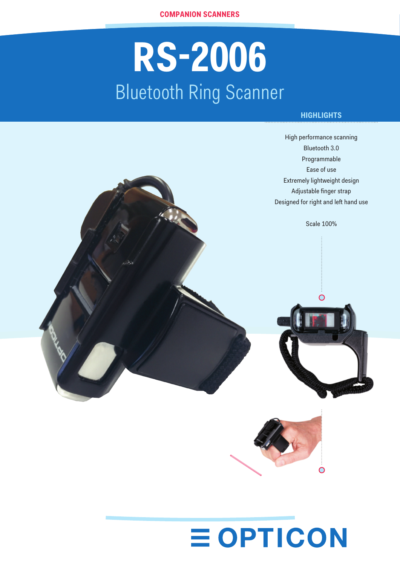# **RS-2006** Bluetooth Ring Scanner

## **HIGHLIGHTS**



## **EOPTICON**